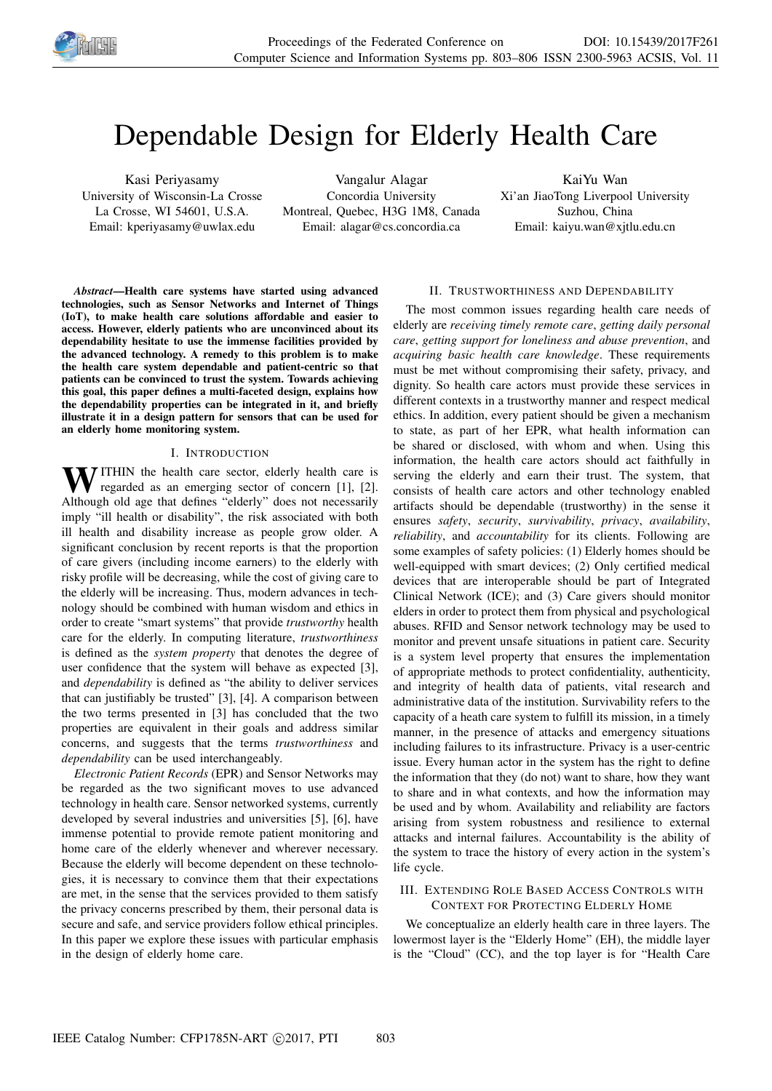

# Dependable Design for Elderly Health Care

Kasi Periyasamy University of Wisconsin-La Crosse La Crosse, WI 54601, U.S.A. Email: kperiyasamy@uwlax.edu

Vangalur Alagar Concordia University Montreal, Quebec, H3G 1M8, Canada Email: alagar@cs.concordia.ca

KaiYu Wan Xi'an JiaoTong Liverpool University Suzhou, China Email: kaiyu.wan@xjtlu.edu.cn

*Abstract*—Health care systems have started using advanced technologies, such as Sensor Networks and Internet of Things (IoT), to make health care solutions affordable and easier to access. However, elderly patients who are unconvinced about its dependability hesitate to use the immense facilities provided by the advanced technology. A remedy to this problem is to make the health care system dependable and patient-centric so that patients can be convinced to trust the system. Towards achieving this goal, this paper defines a multi-faceted design, explains how the dependability properties can be integrated in it, and briefly illustrate it in a design pattern for sensors that can be used for an elderly home monitoring system.

#### I. INTRODUCTION

ITHIN the health care sector, elderly health care is regarded as an emerging sector of concern [1], [2]. Although old age that defines "elderly" does not necessarily imply "ill health or disability", the risk associated with both ill health and disability increase as people grow older. A significant conclusion by recent reports is that the proportion of care givers (including income earners) to the elderly with risky profile will be decreasing, while the cost of giving care to the elderly will be increasing. Thus, modern advances in technology should be combined with human wisdom and ethics in order to create "smart systems" that provide *trustworthy* health care for the elderly. In computing literature, *trustworthiness* is defined as the *system property* that denotes the degree of user confidence that the system will behave as expected [3], and *dependability* is defined as "the ability to deliver services that can justifiably be trusted" [3], [4]. A comparison between the two terms presented in [3] has concluded that the two properties are equivalent in their goals and address similar concerns, and suggests that the terms *trustworthiness* and *dependability* can be used interchangeably.

*Electronic Patient Records* (EPR) and Sensor Networks may be regarded as the two significant moves to use advanced technology in health care. Sensor networked systems, currently developed by several industries and universities [5], [6], have immense potential to provide remote patient monitoring and home care of the elderly whenever and wherever necessary. Because the elderly will become dependent on these technologies, it is necessary to convince them that their expectations are met, in the sense that the services provided to them satisfy the privacy concerns prescribed by them, their personal data is secure and safe, and service providers follow ethical principles. In this paper we explore these issues with particular emphasis in the design of elderly home care.

## II. TRUSTWORTHINESS AND DEPENDABILITY

The most common issues regarding health care needs of elderly are *receiving timely remote care*, *getting daily personal care*, *getting support for loneliness and abuse prevention*, and *acquiring basic health care knowledge*. These requirements must be met without compromising their safety, privacy, and dignity. So health care actors must provide these services in different contexts in a trustworthy manner and respect medical ethics. In addition, every patient should be given a mechanism to state, as part of her EPR, what health information can be shared or disclosed, with whom and when. Using this information, the health care actors should act faithfully in serving the elderly and earn their trust. The system, that consists of health care actors and other technology enabled artifacts should be dependable (trustworthy) in the sense it ensures *safety*, *security*, *survivability*, *privacy*, *availability*, *reliability*, and *accountability* for its clients. Following are some examples of safety policies: (1) Elderly homes should be well-equipped with smart devices; (2) Only certified medical devices that are interoperable should be part of Integrated Clinical Network (ICE); and (3) Care givers should monitor elders in order to protect them from physical and psychological abuses. RFID and Sensor network technology may be used to monitor and prevent unsafe situations in patient care. Security is a system level property that ensures the implementation of appropriate methods to protect confidentiality, authenticity, and integrity of health data of patients, vital research and administrative data of the institution. Survivability refers to the capacity of a heath care system to fulfill its mission, in a timely manner, in the presence of attacks and emergency situations including failures to its infrastructure. Privacy is a user-centric issue. Every human actor in the system has the right to define the information that they (do not) want to share, how they want to share and in what contexts, and how the information may be used and by whom. Availability and reliability are factors arising from system robustness and resilience to external attacks and internal failures. Accountability is the ability of the system to trace the history of every action in the system's life cycle.

## III. EXTENDING ROLE BASED ACCESS CONTROLS WITH CONTEXT FOR PROTECTING ELDERLY HOME

We conceptualize an elderly health care in three layers. The lowermost layer is the "Elderly Home" (EH), the middle layer is the "Cloud" (CC), and the top layer is for "Health Care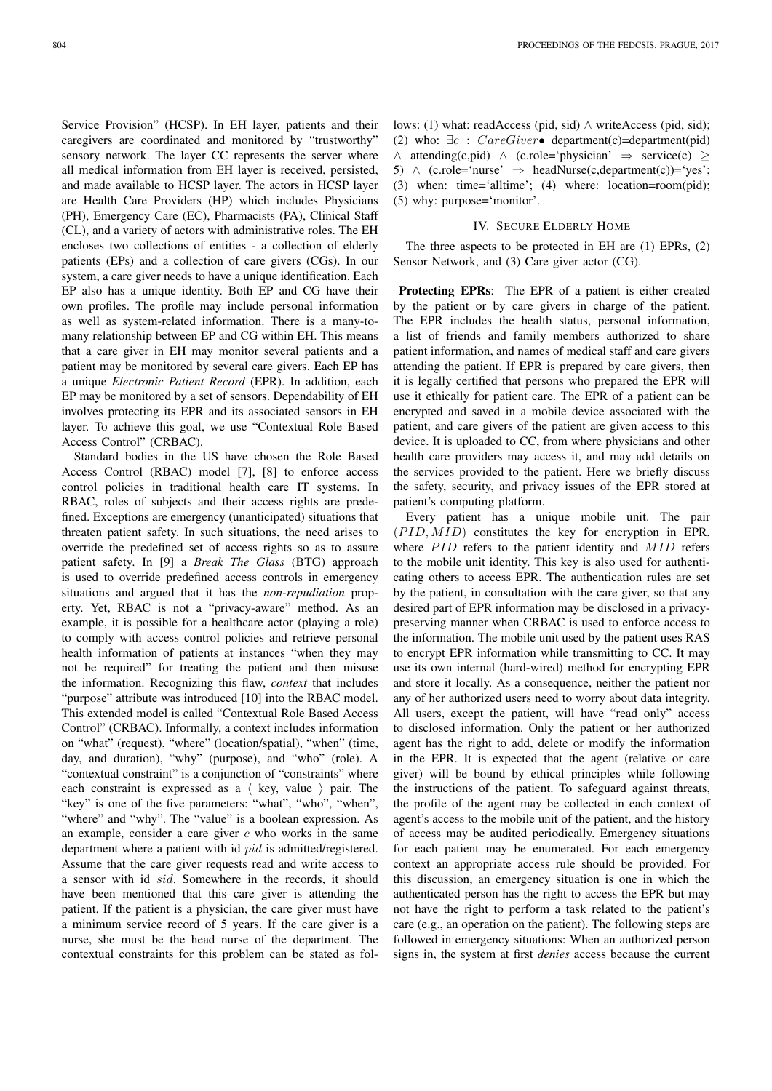Service Provision" (HCSP). In EH layer, patients and their caregivers are coordinated and monitored by "trustworthy" sensory network. The layer CC represents the server where all medical information from EH layer is received, persisted, and made available to HCSP layer. The actors in HCSP layer are Health Care Providers (HP) which includes Physicians (PH), Emergency Care (EC), Pharmacists (PA), Clinical Staff (CL), and a variety of actors with administrative roles. The EH encloses two collections of entities - a collection of elderly patients (EPs) and a collection of care givers (CGs). In our system, a care giver needs to have a unique identification. Each EP also has a unique identity. Both EP and CG have their own profiles. The profile may include personal information as well as system-related information. There is a many-tomany relationship between EP and CG within EH. This means that a care giver in EH may monitor several patients and a patient may be monitored by several care givers. Each EP has a unique *Electronic Patient Record* (EPR). In addition, each EP may be monitored by a set of sensors. Dependability of EH involves protecting its EPR and its associated sensors in EH layer. To achieve this goal, we use "Contextual Role Based Access Control" (CRBAC).

Standard bodies in the US have chosen the Role Based Access Control (RBAC) model [7], [8] to enforce access control policies in traditional health care IT systems. In RBAC, roles of subjects and their access rights are predefined. Exceptions are emergency (unanticipated) situations that threaten patient safety. In such situations, the need arises to override the predefined set of access rights so as to assure patient safety. In [9] a *Break The Glass* (BTG) approach is used to override predefined access controls in emergency situations and argued that it has the *non-repudiation* property. Yet, RBAC is not a "privacy-aware" method. As an example, it is possible for a healthcare actor (playing a role) to comply with access control policies and retrieve personal health information of patients at instances "when they may not be required" for treating the patient and then misuse the information. Recognizing this flaw, *context* that includes "purpose" attribute was introduced [10] into the RBAC model. This extended model is called "Contextual Role Based Access Control" (CRBAC). Informally, a context includes information on "what" (request), "where" (location/spatial), "when" (time, day, and duration), "why" (purpose), and "who" (role). A "contextual constraint" is a conjunction of "constraints" where each constraint is expressed as a  $\langle$  key, value  $\rangle$  pair. The "key" is one of the five parameters: "what", "who", "when", "where" and "why". The "value" is a boolean expression. As an example, consider a care giver  $c$  who works in the same department where a patient with id pid is admitted/registered. Assume that the care giver requests read and write access to a sensor with id sid. Somewhere in the records, it should have been mentioned that this care giver is attending the patient. If the patient is a physician, the care giver must have a minimum service record of 5 years. If the care giver is a nurse, she must be the head nurse of the department. The contextual constraints for this problem can be stated as follows: (1) what: readAccess (pid, sid) ∧ writeAccess (pid, sid); (2) who:  $\exists c : \text{CareGiver} \bullet \text{ department}(c) = \text{department}(pid)$  $\land$  attending(c,pid)  $\land$  (c.role='physician'  $\Rightarrow$  service(c)  $\geq$ 5)  $\land$  (c.role='nurse'  $\Rightarrow$  headNurse(c,department(c))='yes'; (3) when: time='alltime'; (4) where: location=room(pid); (5) why: purpose='monitor'.

#### IV. SECURE ELDERLY HOME

The three aspects to be protected in EH are (1) EPRs, (2) Sensor Network, and (3) Care giver actor (CG).

Protecting EPRs: The EPR of a patient is either created by the patient or by care givers in charge of the patient. The EPR includes the health status, personal information, a list of friends and family members authorized to share patient information, and names of medical staff and care givers attending the patient. If EPR is prepared by care givers, then it is legally certified that persons who prepared the EPR will use it ethically for patient care. The EPR of a patient can be encrypted and saved in a mobile device associated with the patient, and care givers of the patient are given access to this device. It is uploaded to CC, from where physicians and other health care providers may access it, and may add details on the services provided to the patient. Here we briefly discuss the safety, security, and privacy issues of the EPR stored at patient's computing platform.

Every patient has a unique mobile unit. The pair  $(PID, MID)$  constitutes the key for encryption in EPR, where  $PID$  refers to the patient identity and  $MID$  refers to the mobile unit identity. This key is also used for authenticating others to access EPR. The authentication rules are set by the patient, in consultation with the care giver, so that any desired part of EPR information may be disclosed in a privacypreserving manner when CRBAC is used to enforce access to the information. The mobile unit used by the patient uses RAS to encrypt EPR information while transmitting to CC. It may use its own internal (hard-wired) method for encrypting EPR and store it locally. As a consequence, neither the patient nor any of her authorized users need to worry about data integrity. All users, except the patient, will have "read only" access to disclosed information. Only the patient or her authorized agent has the right to add, delete or modify the information in the EPR. It is expected that the agent (relative or care giver) will be bound by ethical principles while following the instructions of the patient. To safeguard against threats, the profile of the agent may be collected in each context of agent's access to the mobile unit of the patient, and the history of access may be audited periodically. Emergency situations for each patient may be enumerated. For each emergency context an appropriate access rule should be provided. For this discussion, an emergency situation is one in which the authenticated person has the right to access the EPR but may not have the right to perform a task related to the patient's care (e.g., an operation on the patient). The following steps are followed in emergency situations: When an authorized person signs in, the system at first *denies* access because the current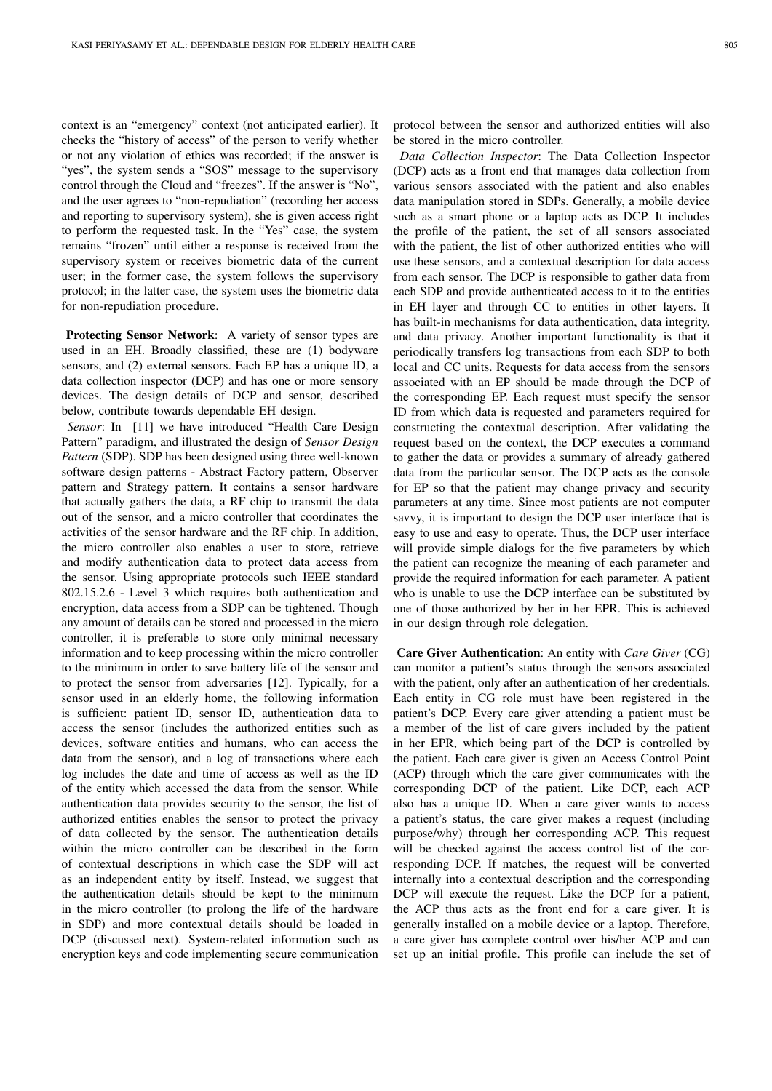context is an "emergency" context (not anticipated earlier). It checks the "history of access" of the person to verify whether or not any violation of ethics was recorded; if the answer is "yes", the system sends a "SOS" message to the supervisory control through the Cloud and "freezes". If the answer is "No", and the user agrees to "non-repudiation" (recording her access and reporting to supervisory system), she is given access right to perform the requested task. In the "Yes" case, the system remains "frozen" until either a response is received from the supervisory system or receives biometric data of the current user; in the former case, the system follows the supervisory protocol; in the latter case, the system uses the biometric data for non-repudiation procedure.

Protecting Sensor Network: A variety of sensor types are used in an EH. Broadly classified, these are (1) bodyware sensors, and (2) external sensors. Each EP has a unique ID, a data collection inspector (DCP) and has one or more sensory devices. The design details of DCP and sensor, described below, contribute towards dependable EH design.

*Sensor*: In [11] we have introduced "Health Care Design Pattern" paradigm, and illustrated the design of *Sensor Design Pattern* (SDP). SDP has been designed using three well-known software design patterns - Abstract Factory pattern, Observer pattern and Strategy pattern. It contains a sensor hardware that actually gathers the data, a RF chip to transmit the data out of the sensor, and a micro controller that coordinates the activities of the sensor hardware and the RF chip. In addition, the micro controller also enables a user to store, retrieve and modify authentication data to protect data access from the sensor. Using appropriate protocols such IEEE standard 802.15.2.6 - Level 3 which requires both authentication and encryption, data access from a SDP can be tightened. Though any amount of details can be stored and processed in the micro controller, it is preferable to store only minimal necessary information and to keep processing within the micro controller to the minimum in order to save battery life of the sensor and to protect the sensor from adversaries [12]. Typically, for a sensor used in an elderly home, the following information is sufficient: patient ID, sensor ID, authentication data to access the sensor (includes the authorized entities such as devices, software entities and humans, who can access the data from the sensor), and a log of transactions where each log includes the date and time of access as well as the ID of the entity which accessed the data from the sensor. While authentication data provides security to the sensor, the list of authorized entities enables the sensor to protect the privacy of data collected by the sensor. The authentication details within the micro controller can be described in the form of contextual descriptions in which case the SDP will act as an independent entity by itself. Instead, we suggest that the authentication details should be kept to the minimum in the micro controller (to prolong the life of the hardware in SDP) and more contextual details should be loaded in DCP (discussed next). System-related information such as encryption keys and code implementing secure communication protocol between the sensor and authorized entities will also be stored in the micro controller.

*Data Collection Inspector*: The Data Collection Inspector (DCP) acts as a front end that manages data collection from various sensors associated with the patient and also enables data manipulation stored in SDPs. Generally, a mobile device such as a smart phone or a laptop acts as DCP. It includes the profile of the patient, the set of all sensors associated with the patient, the list of other authorized entities who will use these sensors, and a contextual description for data access from each sensor. The DCP is responsible to gather data from each SDP and provide authenticated access to it to the entities in EH layer and through CC to entities in other layers. It has built-in mechanisms for data authentication, data integrity, and data privacy. Another important functionality is that it periodically transfers log transactions from each SDP to both local and CC units. Requests for data access from the sensors associated with an EP should be made through the DCP of the corresponding EP. Each request must specify the sensor ID from which data is requested and parameters required for constructing the contextual description. After validating the request based on the context, the DCP executes a command to gather the data or provides a summary of already gathered data from the particular sensor. The DCP acts as the console for EP so that the patient may change privacy and security parameters at any time. Since most patients are not computer savvy, it is important to design the DCP user interface that is easy to use and easy to operate. Thus, the DCP user interface will provide simple dialogs for the five parameters by which the patient can recognize the meaning of each parameter and provide the required information for each parameter. A patient who is unable to use the DCP interface can be substituted by one of those authorized by her in her EPR. This is achieved in our design through role delegation.

Care Giver Authentication: An entity with *Care Giver* (CG) can monitor a patient's status through the sensors associated with the patient, only after an authentication of her credentials. Each entity in CG role must have been registered in the patient's DCP. Every care giver attending a patient must be a member of the list of care givers included by the patient in her EPR, which being part of the DCP is controlled by the patient. Each care giver is given an Access Control Point (ACP) through which the care giver communicates with the corresponding DCP of the patient. Like DCP, each ACP also has a unique ID. When a care giver wants to access a patient's status, the care giver makes a request (including purpose/why) through her corresponding ACP. This request will be checked against the access control list of the corresponding DCP. If matches, the request will be converted internally into a contextual description and the corresponding DCP will execute the request. Like the DCP for a patient, the ACP thus acts as the front end for a care giver. It is generally installed on a mobile device or a laptop. Therefore, a care giver has complete control over his/her ACP and can set up an initial profile. This profile can include the set of